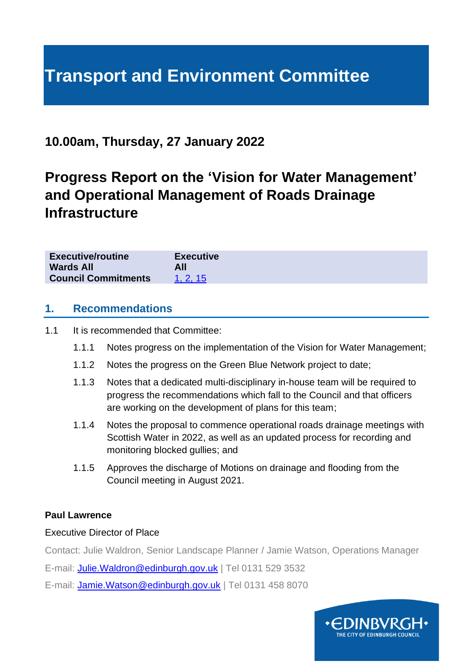## **Transport and Environment Committee**

## **10.00am, Thursday, 27 January 2022**

## **Progress Report on the 'Vision for Water Management' and Operational Management of Roads Drainage Infrastructure**

| <b>Executive/routine</b>   | <b>Executive</b> |
|----------------------------|------------------|
| Wards All                  | All              |
| <b>Council Commitments</b> | 1. 2. 15         |

## **1. Recommendations**

1.1 It is recommended that Committee:

- 1.1.1 Notes progress on the implementation of the Vision for Water Management;
- 1.1.2 Notes the progress on the Green Blue Network project to date;
- 1.1.3 Notes that a dedicated multi-disciplinary in-house team will be required to progress the recommendations which fall to the Council and that officers are working on the development of plans for this team;
- 1.1.4 Notes the proposal to commence operational roads drainage meetings with Scottish Water in 2022, as well as an updated process for recording and monitoring blocked gullies; and
- 1.1.5 Approves the discharge of Motions on drainage and flooding from the Council meeting in August 2021.

## **Paul Lawrence**

## Executive Director of Place

Contact: Julie Waldron, Senior Landscape Planner / Jamie Watson, Operations Manager

E-mail: [Julie.Waldron@edinburgh.gov.uk](mailto:Julie.Waldron@edinburgh.gov.uk) | Tel 0131 529 3532

E-mail: [Jamie.Watson@edinburgh.gov.uk](mailto:Jamie.Watson@edinburgh.gov.uk) | Tel 0131 458 8070

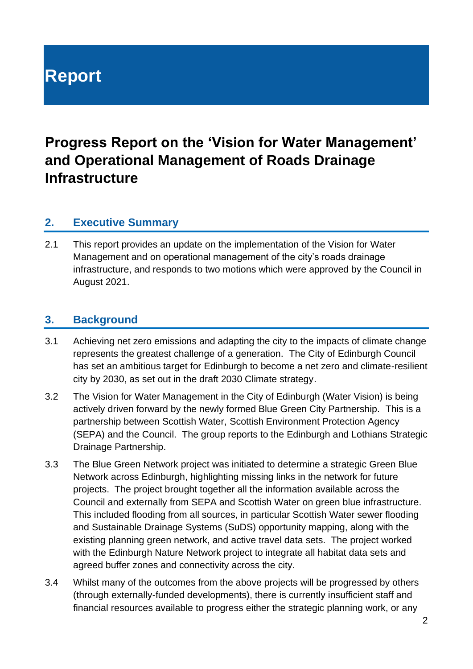## **Report**

## **Progress Report on the 'Vision for Water Management' and Operational Management of Roads Drainage Infrastructure**

## **2. Executive Summary**

2.1 This report provides an update on the implementation of the Vision for Water Management and on operational management of the city's roads drainage infrastructure, and responds to two motions which were approved by the Council in August 2021.

## **3. Background**

- 3.1 Achieving net zero emissions and adapting the city to the impacts of climate change represents the greatest challenge of a generation. The City of Edinburgh Council has set an ambitious target for Edinburgh to become a net zero and climate-resilient city by 2030, as set out in the draft 2030 Climate strategy.
- 3.2 The Vision for Water Management in the City of Edinburgh (Water Vision) is being actively driven forward by the newly formed Blue Green City Partnership. This is a partnership between Scottish Water, Scottish Environment Protection Agency (SEPA) and the Council. The group reports to the Edinburgh and Lothians Strategic Drainage Partnership.
- 3.3 The Blue Green Network project was initiated to determine a strategic Green Blue Network across Edinburgh, highlighting missing links in the network for future projects. The project brought together all the information available across the Council and externally from SEPA and Scottish Water on green blue infrastructure. This included flooding from all sources, in particular Scottish Water sewer flooding and Sustainable Drainage Systems (SuDS) opportunity mapping, along with the existing planning green network, and active travel data sets. The project worked with the Edinburgh Nature Network project to integrate all habitat data sets and agreed buffer zones and connectivity across the city.
- 3.4 Whilst many of the outcomes from the above projects will be progressed by others (through externally-funded developments), there is currently insufficient staff and financial resources available to progress either the strategic planning work, or any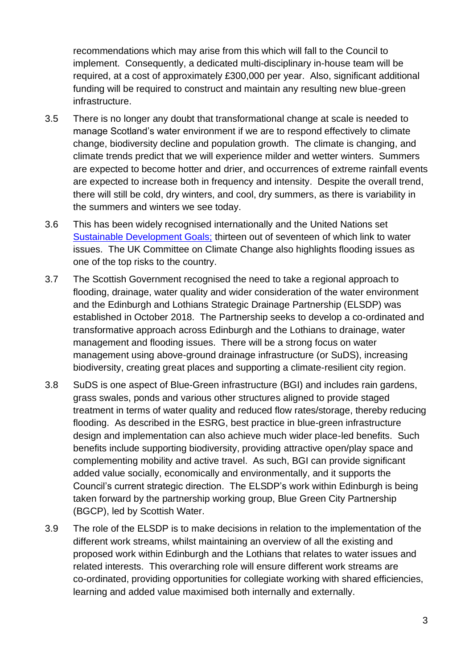recommendations which may arise from this which will fall to the Council to implement. Consequently, a dedicated multi-disciplinary in-house team will be required, at a cost of approximately £300,000 per year. Also, significant additional funding will be required to construct and maintain any resulting new blue-green infrastructure.

- 3.5 There is no longer any doubt that transformational change at scale is needed to manage Scotland's water environment if we are to respond effectively to climate change, biodiversity decline and population growth. The climate is changing, and climate trends predict that we will experience milder and wetter winters. Summers are expected to become hotter and drier, and occurrences of extreme rainfall events are expected to increase both in frequency and intensity. Despite the overall trend, there will still be cold, dry winters, and cool, dry summers, as there is variability in the summers and winters we see today.
- 3.6 This has been widely recognised internationally and the United Nations set [Sustainable Development Goals;](https://sustainabledevelopment.un.org/sdgs) thirteen out of seventeen of which link to water issues. The UK Committee on Climate Change also highlights flooding issues as one of the top risks to the country.
- 3.7 The Scottish Government recognised the need to take a regional approach to flooding, drainage, water quality and wider consideration of the water environment and the Edinburgh and Lothians Strategic Drainage Partnership (ELSDP) was established in October 2018. The Partnership seeks to develop a co-ordinated and transformative approach across Edinburgh and the Lothians to drainage, water management and flooding issues. There will be a strong focus on water management using above-ground drainage infrastructure (or SuDS), increasing biodiversity, creating great places and supporting a climate-resilient city region.
- 3.8 SuDS is one aspect of Blue-Green infrastructure (BGI) and includes rain gardens, grass swales, ponds and various other structures aligned to provide staged treatment in terms of water quality and reduced flow rates/storage, thereby reducing flooding. As described in the ESRG, best practice in blue-green infrastructure design and implementation can also achieve much wider place-led benefits. Such benefits include supporting biodiversity, providing attractive open/play space and complementing mobility and active travel. As such, BGI can provide significant added value socially, economically and environmentally, and it supports the Council's current strategic direction. The ELSDP's work within Edinburgh is being taken forward by the partnership working group, Blue Green City Partnership (BGCP), led by Scottish Water.
- 3.9 The role of the ELSDP is to make decisions in relation to the implementation of the different work streams, whilst maintaining an overview of all the existing and proposed work within Edinburgh and the Lothians that relates to water issues and related interests. This overarching role will ensure different work streams are co-ordinated, providing opportunities for collegiate working with shared efficiencies, learning and added value maximised both internally and externally.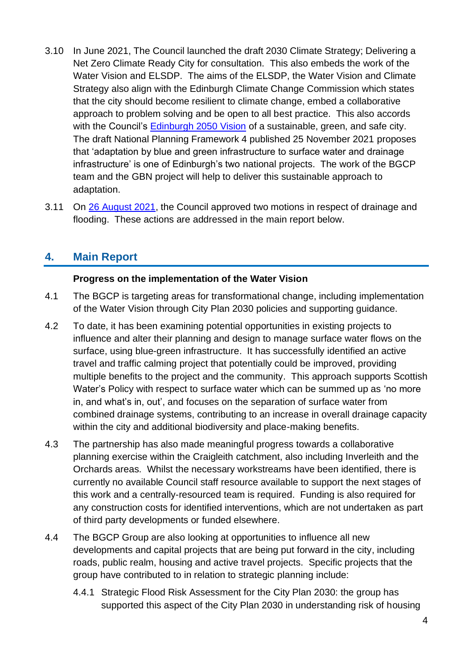- 3.10 In June 2021, The Council launched the draft 2030 Climate Strategy; Delivering a Net Zero Climate Ready City for consultation. This also embeds the work of the Water Vision and ELSDP. The aims of the ELSDP, the Water Vision and Climate Strategy also align with the Edinburgh Climate Change Commission which states that the city should become resilient to climate change, embed a collaborative approach to problem solving and be open to all best practice. This also accords with the Council's [Edinburgh 2050 Vision](https://edinburgh.org/2050-edinburgh-city-vision/) of a sustainable, green, and safe city. The draft National Planning Framework 4 published 25 November 2021 proposes that 'adaptation by blue and green infrastructure to surface water and drainage infrastructure' is one of Edinburgh's two national projects. The work of the BGCP team and the GBN project will help to deliver this sustainable approach to adaptation.
- 3.11 On [26 August 2021,](https://democracy.edinburgh.gov.uk/documents/s37605/Item%204.1%20-%20Minute%20of%2026%20August%202021%20-%20V2.pdf) the Council approved two motions in respect of drainage and flooding. These actions are addressed in the main report below.

## **4. Main Report**

## **Progress on the implementation of the Water Vision**

- 4.1 The BGCP is targeting areas for transformational change, including implementation of the Water Vision through City Plan 2030 policies and supporting guidance.
- 4.2 To date, it has been examining potential opportunities in existing projects to influence and alter their planning and design to manage surface water flows on the surface, using blue-green infrastructure. It has successfully identified an active travel and traffic calming project that potentially could be improved, providing multiple benefits to the project and the community. This approach supports Scottish Water's Policy with respect to surface water which can be summed up as 'no more in, and what's in, out', and focuses on the separation of surface water from combined drainage systems, contributing to an increase in overall drainage capacity within the city and additional biodiversity and place-making benefits.
- 4.3 The partnership has also made meaningful progress towards a collaborative planning exercise within the Craigleith catchment, also including Inverleith and the Orchards areas. Whilst the necessary workstreams have been identified, there is currently no available Council staff resource available to support the next stages of this work and a centrally-resourced team is required. Funding is also required for any construction costs for identified interventions, which are not undertaken as part of third party developments or funded elsewhere.
- 4.4 The BGCP Group are also looking at opportunities to influence all new developments and capital projects that are being put forward in the city, including roads, public realm, housing and active travel projects. Specific projects that the group have contributed to in relation to strategic planning include:
	- 4.4.1 Strategic Flood Risk Assessment for the City Plan 2030: the group has supported this aspect of the City Plan 2030 in understanding risk of housing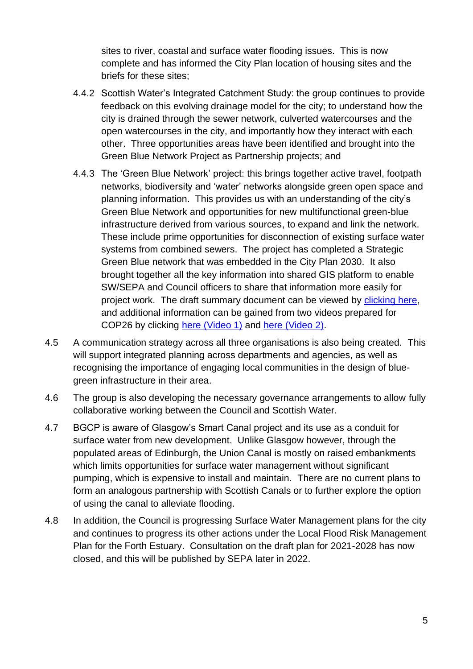sites to river, coastal and surface water flooding issues. This is now complete and has informed the City Plan location of housing sites and the briefs for these sites;

- 4.4.2 Scottish Water's Integrated Catchment Study: the group continues to provide feedback on this evolving drainage model for the city; to understand how the city is drained through the sewer network, culverted watercourses and the open watercourses in the city, and importantly how they interact with each other. Three opportunities areas have been identified and brought into the Green Blue Network Project as Partnership projects; and
- 4.4.3 The 'Green Blue Network' project: this brings together active travel, footpath networks, biodiversity and 'water' networks alongside green open space and planning information. This provides us with an understanding of the city's Green Blue Network and opportunities for new multifunctional green-blue infrastructure derived from various sources, to expand and link the network. These include prime opportunities for disconnection of existing surface water systems from combined sewers. The project has completed a Strategic Green Blue network that was embedded in the City Plan 2030. It also brought together all the key information into shared GIS platform to enable SW/SEPA and Council officers to share that information more easily for project work. The draft summary document can be viewed by [clicking here,](https://indd.adobe.com/view/50b41947-c920-4344-88bf-063c81be62de) and additional information can be gained from two videos prepared for COP26 by clicking here [\(Video 1\)](https://vimeo.com/641445697/12f17a101d) and [here \(Video 2\).](https://vimeo.com/641862894/4606f810ac)
- 4.5 A communication strategy across all three organisations is also being created. This will support integrated planning across departments and agencies, as well as recognising the importance of engaging local communities in the design of bluegreen infrastructure in their area.
- 4.6 The group is also developing the necessary governance arrangements to allow fully collaborative working between the Council and Scottish Water.
- 4.7 BGCP is aware of Glasgow's Smart Canal project and its use as a conduit for surface water from new development. Unlike Glasgow however, through the populated areas of Edinburgh, the Union Canal is mostly on raised embankments which limits opportunities for surface water management without significant pumping, which is expensive to install and maintain. There are no current plans to form an analogous partnership with Scottish Canals or to further explore the option of using the canal to alleviate flooding.
- 4.8 In addition, the Council is progressing Surface Water Management plans for the city and continues to progress its other actions under the Local Flood Risk Management Plan for the Forth Estuary. Consultation on the draft plan for 2021-2028 has now closed, and this will be published by SEPA later in 2022.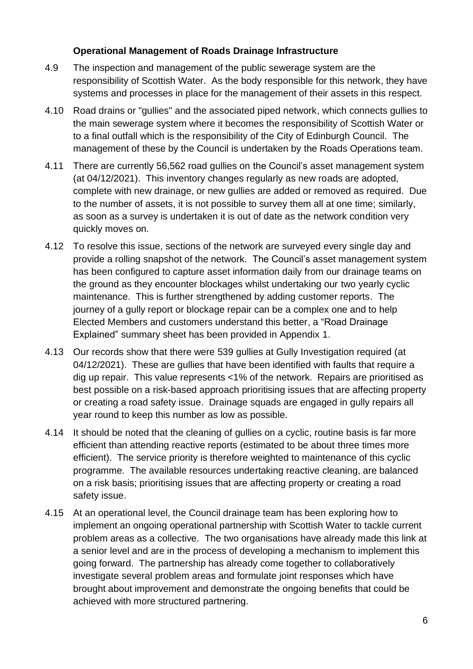## **Operational Management of Roads Drainage Infrastructure**

- 4.9 The inspection and management of the public sewerage system are the responsibility of Scottish Water. As the body responsible for this network, they have systems and processes in place for the management of their assets in this respect.
- 4.10 Road drains or "gullies" and the associated piped network, which connects gullies to the main sewerage system where it becomes the responsibility of Scottish Water or to a final outfall which is the responsibility of the City of Edinburgh Council. The management of these by the Council is undertaken by the Roads Operations team.
- 4.11 There are currently 56,562 road gullies on the Council's asset management system (at 04/12/2021). This inventory changes regularly as new roads are adopted, complete with new drainage, or new gullies are added or removed as required. Due to the number of assets, it is not possible to survey them all at one time; similarly, as soon as a survey is undertaken it is out of date as the network condition very quickly moves on.
- 4.12 To resolve this issue, sections of the network are surveyed every single day and provide a rolling snapshot of the network. The Council's asset management system has been configured to capture asset information daily from our drainage teams on the ground as they encounter blockages whilst undertaking our two yearly cyclic maintenance. This is further strengthened by adding customer reports. The journey of a gully report or blockage repair can be a complex one and to help Elected Members and customers understand this better, a "Road Drainage Explained" summary sheet has been provided in Appendix 1.
- 4.13 Our records show that there were 539 gullies at Gully Investigation required (at 04/12/2021). These are gullies that have been identified with faults that require a dig up repair. This value represents <1% of the network. Repairs are prioritised as best possible on a risk-based approach prioritising issues that are affecting property or creating a road safety issue. Drainage squads are engaged in gully repairs all year round to keep this number as low as possible.
- 4.14 It should be noted that the cleaning of gullies on a cyclic, routine basis is far more efficient than attending reactive reports (estimated to be about three times more efficient). The service priority is therefore weighted to maintenance of this cyclic programme. The available resources undertaking reactive cleaning, are balanced on a risk basis; prioritising issues that are affecting property or creating a road safety issue.
- 4.15 At an operational level, the Council drainage team has been exploring how to implement an ongoing operational partnership with Scottish Water to tackle current problem areas as a collective. The two organisations have already made this link at a senior level and are in the process of developing a mechanism to implement this going forward. The partnership has already come together to collaboratively investigate several problem areas and formulate joint responses which have brought about improvement and demonstrate the ongoing benefits that could be achieved with more structured partnering.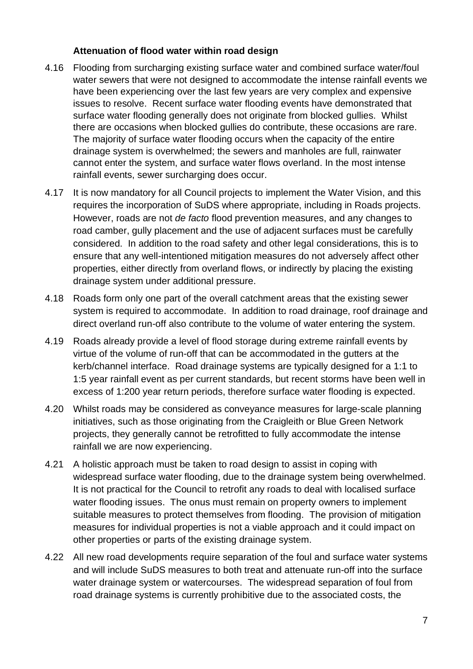## **Attenuation of flood water within road design**

- 4.16 Flooding from surcharging existing surface water and combined surface water/foul water sewers that were not designed to accommodate the intense rainfall events we have been experiencing over the last few years are very complex and expensive issues to resolve. Recent surface water flooding events have demonstrated that surface water flooding generally does not originate from blocked gullies. Whilst there are occasions when blocked gullies do contribute, these occasions are rare. The majority of surface water flooding occurs when the capacity of the entire drainage system is overwhelmed; the sewers and manholes are full, rainwater cannot enter the system, and surface water flows overland. In the most intense rainfall events, sewer surcharging does occur.
- 4.17 It is now mandatory for all Council projects to implement the Water Vision, and this requires the incorporation of SuDS where appropriate, including in Roads projects. However, roads are not *de facto* flood prevention measures, and any changes to road camber, gully placement and the use of adjacent surfaces must be carefully considered. In addition to the road safety and other legal considerations, this is to ensure that any well-intentioned mitigation measures do not adversely affect other properties, either directly from overland flows, or indirectly by placing the existing drainage system under additional pressure.
- 4.18 Roads form only one part of the overall catchment areas that the existing sewer system is required to accommodate. In addition to road drainage, roof drainage and direct overland run-off also contribute to the volume of water entering the system.
- 4.19 Roads already provide a level of flood storage during extreme rainfall events by virtue of the volume of run-off that can be accommodated in the gutters at the kerb/channel interface. Road drainage systems are typically designed for a 1:1 to 1:5 year rainfall event as per current standards, but recent storms have been well in excess of 1:200 year return periods, therefore surface water flooding is expected.
- 4.20 Whilst roads may be considered as conveyance measures for large-scale planning initiatives, such as those originating from the Craigleith or Blue Green Network projects, they generally cannot be retrofitted to fully accommodate the intense rainfall we are now experiencing.
- 4.21 A holistic approach must be taken to road design to assist in coping with widespread surface water flooding, due to the drainage system being overwhelmed. It is not practical for the Council to retrofit any roads to deal with localised surface water flooding issues. The onus must remain on property owners to implement suitable measures to protect themselves from flooding. The provision of mitigation measures for individual properties is not a viable approach and it could impact on other properties or parts of the existing drainage system.
- 4.22 All new road developments require separation of the foul and surface water systems and will include SuDS measures to both treat and attenuate run-off into the surface water drainage system or watercourses. The widespread separation of foul from road drainage systems is currently prohibitive due to the associated costs, the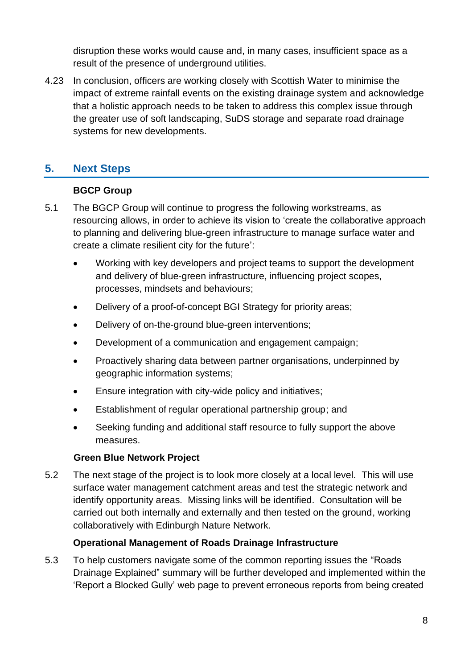disruption these works would cause and, in many cases, insufficient space as a result of the presence of underground utilities.

4.23 In conclusion, officers are working closely with Scottish Water to minimise the impact of extreme rainfall events on the existing drainage system and acknowledge that a holistic approach needs to be taken to address this complex issue through the greater use of soft landscaping, SuDS storage and separate road drainage systems for new developments.

## **5. Next Steps**

## **BGCP Group**

- <span id="page-7-0"></span>5.1 The BGCP Group will continue to progress the following workstreams, as resourcing allows, in order to achieve its vision to 'create the collaborative approach to planning and delivering blue-green infrastructure to manage surface water and create a climate resilient city for the future':
	- Working with key developers and project teams to support the development and delivery of blue-green infrastructure, influencing project scopes, processes, mindsets and behaviours;
	- Delivery of a proof-of-concept BGI Strategy for priority areas;
	- Delivery of on-the-ground blue-green interventions;
	- Development of a communication and engagement campaign;
	- Proactively sharing data between partner organisations, underpinned by geographic information systems;
	- Ensure integration with city-wide policy and initiatives;
	- Establishment of regular operational partnership group; and
	- Seeking funding and additional staff resource to fully support the above measures.

## **Green Blue Network Project**

5.2 The next stage of the project is to look more closely at a local level. This will use surface water management catchment areas and test the strategic network and identify opportunity areas. Missing links will be identified. Consultation will be carried out both internally and externally and then tested on the ground, working collaboratively with Edinburgh Nature Network.

## **Operational Management of Roads Drainage Infrastructure**

5.3 To help customers navigate some of the common reporting issues the "Roads Drainage Explained" summary will be further developed and implemented within the 'Report a Blocked Gully' web page to prevent erroneous reports from being created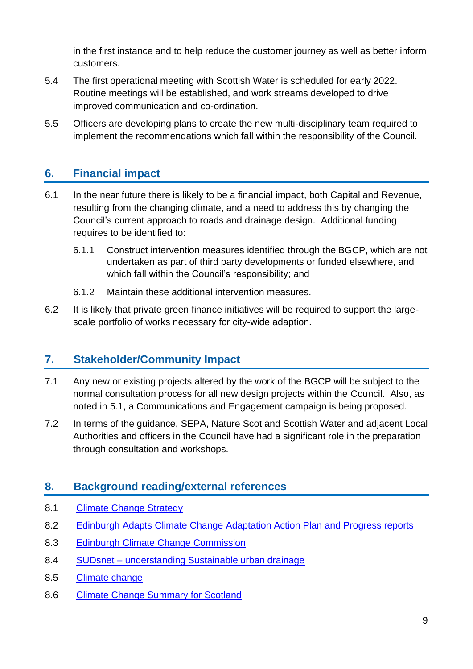in the first instance and to help reduce the customer journey as well as better inform customers.

- 5.4 The first operational meeting with Scottish Water is scheduled for early 2022. Routine meetings will be established, and work streams developed to drive improved communication and co-ordination.
- 5.5 Officers are developing plans to create the new multi-disciplinary team required to implement the recommendations which fall within the responsibility of the Council.

## **6. Financial impact**

- 6.1 In the near future there is likely to be a financial impact, both Capital and Revenue, resulting from the changing climate, and a need to address this by changing the Council's current approach to roads and drainage design. Additional funding requires to be identified to:
	- 6.1.1 Construct intervention measures identified through the BGCP, which are not undertaken as part of third party developments or funded elsewhere, and which fall within the Council's responsibility; and
	- 6.1.2 Maintain these additional intervention measures.
- 6.2 It is likely that private green finance initiatives will be required to support the largescale portfolio of works necessary for city-wide adaption.

## **7. Stakeholder/Community Impact**

- 7.1 Any new or existing projects altered by the work of the BGCP will be subject to the normal consultation process for all new design projects within the Council. Also, as noted in [5.1,](#page-7-0) a Communications and Engagement campaign is being proposed.
- 7.2 In terms of the guidance, SEPA, Nature Scot and Scottish Water and adjacent Local Authorities and officers in the Council have had a significant role in the preparation through consultation and workshops.

## **8. Background reading/external references**

- 8.1 [Climate Change Strategy](https://democracy.edinburgh.gov.uk/documents/s34649/Item%207.7%20-%202030%20Climate%20Strategy%20-%20Draft%20for%20Consultation.pdf)
- 8.2 [Edinburgh Adapts Climate Change Adaptation Action Plan and Progress reports](https://www.edinburgh.gov.uk/downloads/download/13567/edinburgh-adapts)
- 8.3 [Edinburgh Climate Change Commission](https://www.edinburghclimate.org.uk/)
- 8.4 SUDsnet [understanding Sustainable urban drainage](https://www.abertay.ac.uk/business/services/sudsnet/)
- 8.5 [Climate change](file://///corpad.corp.edinburgh.gov.uk/departments/Projects/Directorate%20Committee%20Team/Committees/Transport%20and%20Environment/2020/12%20November/Water%20Management%20Vision/1.1%09https:/www.theccc.org.uk/uk-climate-change-risk-assessment-2017/)
- 8.6 [Climate Change Summary for Scotland](https://www.theccc.org.uk/uk-climate-change-risk-assessment-2017/national-summaries/)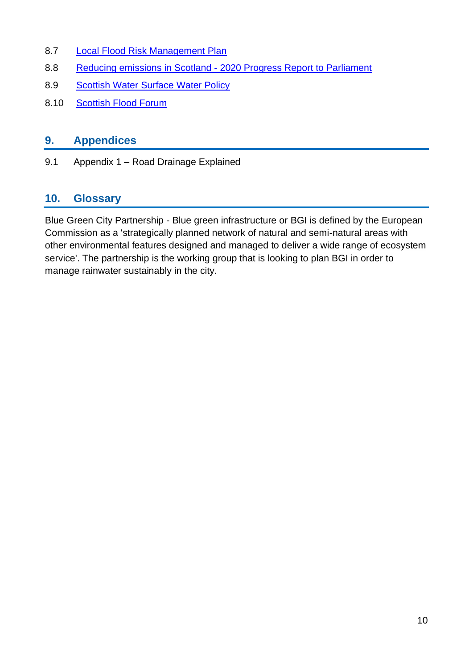- 8.7 [Local Flood Risk Management Plan](https://www.edinburgh.gov.uk/flooding/local-flood-risk-management-plan)
- 8.8 Reducing emissions in Scotland [2020 Progress Report to Parliament](https://www.theccc.org.uk/publication/reducing-emissions-in-scotland-2020-progress-report-to-parliament/)
- 8.9 [Scottish Water Surface Water Policy](https://www.scottishwater.co.uk/-/media/ScottishWater/Document-Hub/Business-and-Developers/Connecting-to-our-network/All-connections-information/190718SurfaceWaterGuidanceDoc8ppA4PagesHiRes.pdf)
- 8.10 [Scottish Flood Forum](https://scottishfloodforum.org/)

## **9. Appendices**

9.1 Appendix 1 – Road Drainage Explained

## **10. Glossary**

Blue Green City Partnership - Blue green infrastructure or BGI is defined by the European Commission as a 'strategically planned network of natural and semi-natural areas with other environmental features designed and managed to deliver a wide range of ecosystem service'. The partnership is the working group that is looking to plan BGI in order to manage rainwater sustainably in the city.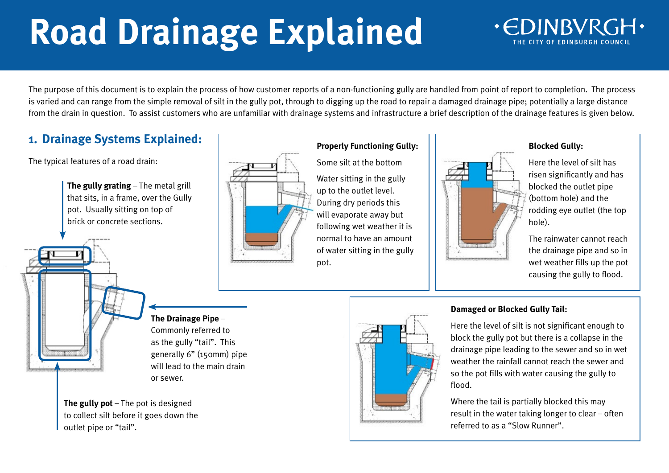# **Road Drainage Explained**

## **.CDINBVR**

The purpose of this document is to explain the process of how customer reports of a non-functioning gully are handled from point of report to completion. The process is varied and can range from the simple removal of silt in the gully pot, through to digging up the road to repair a damaged drainage pipe; potentially a large distance from the drain in question. To assist customers who are unfamiliar with drainage systems and infrastructure a brief description of the drainage features is given below.

## **1. Drainage Systems Explained:**

The typical features of a road drain:

**The gully grating** – The metal grill that sits, in a frame, over the Gully pot. Usually sitting on top of brick or concrete sections.





## **Properly Functioning Gully:**

Some silt at the bottom

Water sitting in the gully up to the outlet level. During dry periods this will evaporate away but following wet weather it is normal to have an amount of water sitting in the gully pot.



## **Blocked Gully:**

Here the level of silt has risen significantly and has blocked the outlet pipe (bottom hole) and the rodding eye outlet (the top hole).

The rainwater cannot reach the drainage pipe and so in wet weather fills up the pot causing the gully to flood.

## **The Drainage Pipe** – Commonly referred to

as the gully "tail". This generally 6" (150mm) pipe will lead to the main drain or sewer.

**The gully pot** – The pot is designed to collect silt before it goes down the outlet pipe or "tail".



## **Damaged or Blocked Gully Tail:**

Here the level of silt is not significant enough to block the gully pot but there is a collapse in the drainage pipe leading to the sewer and so in wet weather the rainfall cannot reach the sewer and so the pot fills with water causing the gully to flood.

Where the tail is partially blocked this may result in the water taking longer to clear – often referred to as a "Slow Runner".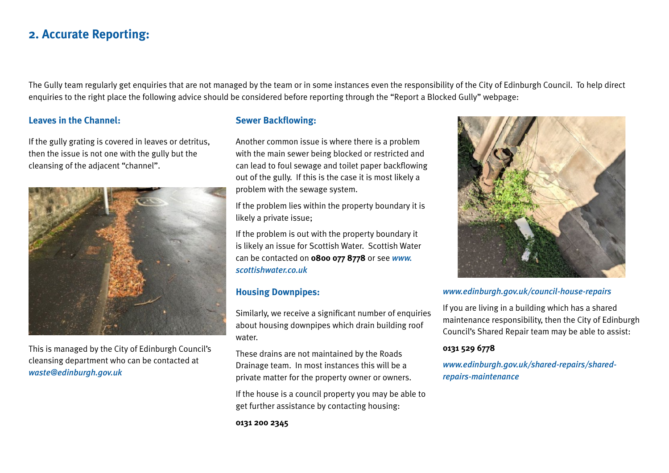## **2. Accurate Reporting:**

The Gully team regularly get enquiries that are not managed by the team or in some instances even the responsibility of the City of Edinburgh Council. To help direct enquiries to the right place the following advice should be considered before reporting through the "Report a Blocked Gully" webpage:

#### **Leaves in the Channel:**

If the gully grating is covered in leaves or detritus, then the issue is not one with the gully but the cleansing of the adjacent "channel".



This is managed by the City of Edinburgh Council's cleansing department who can be contacted at *[waste@edinburgh.gov.uk](mailto:waste@edinburgh.gov.uk)*

#### **Sewer Backflowing:**

Another common issue is where there is a problem with the main sewer being blocked or restricted and can lead to foul sewage and toilet paper backflowing out of the gully. If this is the case it is most likely a problem with the sewage system.

If the problem lies within the property boundary it is likely a private issue;

If the problem is out with the property boundary it is likely an issue for Scottish Water. Scottish Water can be contacted on **0800 077 8778** or see *[www.](https://www.scottishwater.co.uk/) [scottishwater.co.uk](https://www.scottishwater.co.uk/)*

## **Housing Downpipes:**

Similarly, we receive a significant number of enquiries about housing downpipes which drain building roof water.

These drains are not maintained by the Roads Drainage team. In most instances this will be a private matter for the property owner or owners.

If the house is a council property you may be able to get further assistance by contacting housing:

**0131 200 2345** 



#### *www.[edinburgh.gov.uk/council-house-repairs](https://www.edinburgh.gov.uk/council-housing-association-homes/council-house-repairs)*

If you are living in a building which has a shared maintenance responsibility, then the City of Edinburgh Council's Shared Repair team may be able to assist:

## **0131 529 6778**

*[www.edinburgh.gov.uk/shared-repairs/shared](https://www.edinburgh.gov.uk/shared-repairs/shared-repairs-maintenance)[repairs-maintenance](https://www.edinburgh.gov.uk/shared-repairs/shared-repairs-maintenance)*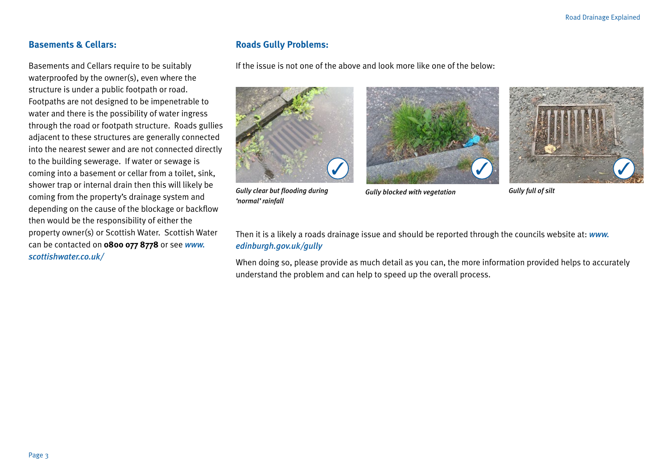## **Basements & Cellars:**

Basements and Cellars require to be suitably waterproofed by the owner(s), even where the structure is under a public footpath or road. Footpaths are not designed to be impenetrable to water and there is the possibility of water ingress through the road or footpath structure. Roads gullies adjacent to these structures are generally connected into the nearest sewer and are not connected directly to the building sewerage. If water or sewage is coming into a basement or cellar from a toilet, sink, shower trap or internal drain then this will likely be coming from the property's drainage system and depending on the cause of the blockage or backflow then would be the responsibility of either the property owner(s) or Scottish Water. Scottish Water can be contacted on **0800 077 8778** or see *[www.](https://www.scottishwater.co.uk/) [scottishwater.co.uk/](https://www.scottishwater.co.uk/)*

## **Roads Gully Problems:**

If the issue is not one of the above and look more like one of the below:



*Gully clear but flooding during 'normal' rainfall*





Then it is a likely a roads drainage issue and should be reported through the councils website at: *[www.](https://www.edinburgh.gov.uk/gully) [edinburgh.gov.uk/gully](https://www.edinburgh.gov.uk/gully)*

When doing so, please provide as much detail as you can, the more information provided helps to accurately understand the problem and can help to speed up the overall process.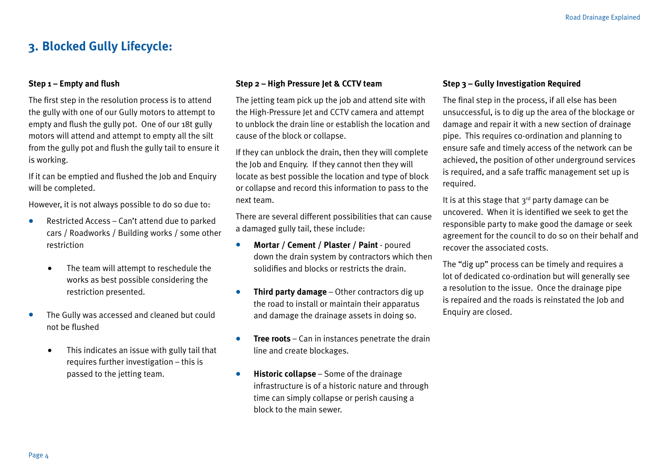## **3. Blocked Gully Lifecycle:**

#### **Step 1 – Empty and flush**

The first step in the resolution process is to attend the gully with one of our Gully motors to attempt to empty and flush the gully pot. One of our 18t gully motors will attend and attempt to empty all the silt from the gully pot and flush the gully tail to ensure it is working.

If it can be emptied and flushed the Job and Enquiry will be completed.

However, it is not always possible to do so due to:

- **•** Restricted Access Can't attend due to parked cars / Roadworks / Building works / some other restriction
	- **•** The team will attempt to reschedule the works as best possible considering the restriction presented.
- **•** The Gully was accessed and cleaned but could not be flushed
	- **•** This indicates an issue with gully tail that requires further investigation – this is passed to the jetting team.

#### **Step 2 – High Pressure Jet & CCTV team**

The jetting team pick up the job and attend site with the High-Pressure let and CCTV camera and attempt to unblock the drain line or establish the location and cause of the block or collapse.

If they can unblock the drain, then they will complete the Job and Enquiry. If they cannot then they will locate as best possible the location and type of block or collapse and record this information to pass to the next team.

There are several different possibilities that can cause a damaged gully tail, these include:

- **• Mortar / Cement / Plaster / Paint**  poured down the drain system by contractors which then solidifies and blocks or restricts the drain.
- **• Third party damage** Other contractors dig up the road to install or maintain their apparatus and damage the drainage assets in doing so.
- **• Tree roots** Can in instances penetrate the drain line and create blockages.
- **• Historic collapse** Some of the drainage infrastructure is of a historic nature and through time can simply collapse or perish causing a block to the main sewer.

#### **Step 3 – Gully Investigation Required**

The final step in the process, if all else has been unsuccessful, is to dig up the area of the blockage or damage and repair it with a new section of drainage pipe. This requires co-ordination and planning to ensure safe and timely access of the network can be achieved, the position of other underground services is required, and a safe traffic management set up is required.

It is at this stage that  $3^{rd}$  party damage can be uncovered. When it is identified we seek to get the responsible party to make good the damage or seek agreement for the council to do so on their behalf and recover the associated costs.

The "dig up" process can be timely and requires a lot of dedicated co-ordination but will generally see a resolution to the issue. Once the drainage pipe is repaired and the roads is reinstated the Job and Enquiry are closed.